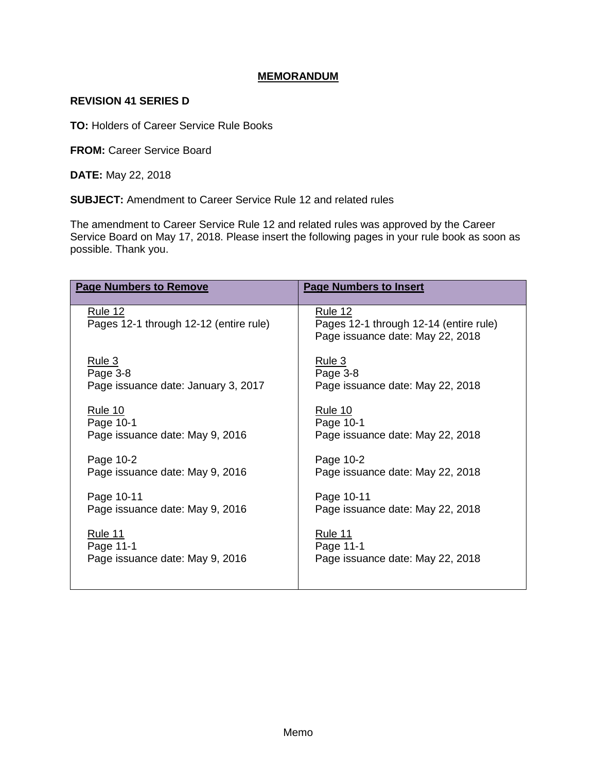## **MEMORANDUM**

## **REVISION 41 SERIES D**

**TO:** Holders of Career Service Rule Books

**FROM:** Career Service Board

**DATE:** May 22, 2018

**SUBJECT:** Amendment to Career Service Rule 12 and related rules

The amendment to Career Service Rule 12 and related rules was approved by the Career Service Board on May 17, 2018. Please insert the following pages in your rule book as soon as possible. Thank you.

| <b>Page Numbers to Remove</b>                            | <b>Page Numbers to Insert</b>                                                         |
|----------------------------------------------------------|---------------------------------------------------------------------------------------|
| <u>Rule 12</u><br>Pages 12-1 through 12-12 (entire rule) | Rule 12<br>Pages 12-1 through 12-14 (entire rule)<br>Page issuance date: May 22, 2018 |
| Rule 3                                                   | Rule 3                                                                                |
| Page 3-8                                                 | Page 3-8                                                                              |
| Page issuance date: January 3, 2017                      | Page issuance date: May 22, 2018                                                      |
| <u>Rule 10</u>                                           | <u>Rule 10</u>                                                                        |
| Page 10-1                                                | Page 10-1                                                                             |
| Page issuance date: May 9, 2016                          | Page issuance date: May 22, 2018                                                      |
| Page 10-2                                                | Page 10-2                                                                             |
| Page issuance date: May 9, 2016                          | Page issuance date: May 22, 2018                                                      |
| Page 10-11                                               | Page 10-11                                                                            |
| Page issuance date: May 9, 2016                          | Page issuance date: May 22, 2018                                                      |
| <u>Rule 11</u>                                           | <b>Rule 11</b>                                                                        |
| Page 11-1                                                | Page 11-1                                                                             |
| Page issuance date: May 9, 2016                          | Page issuance date: May 22, 2018                                                      |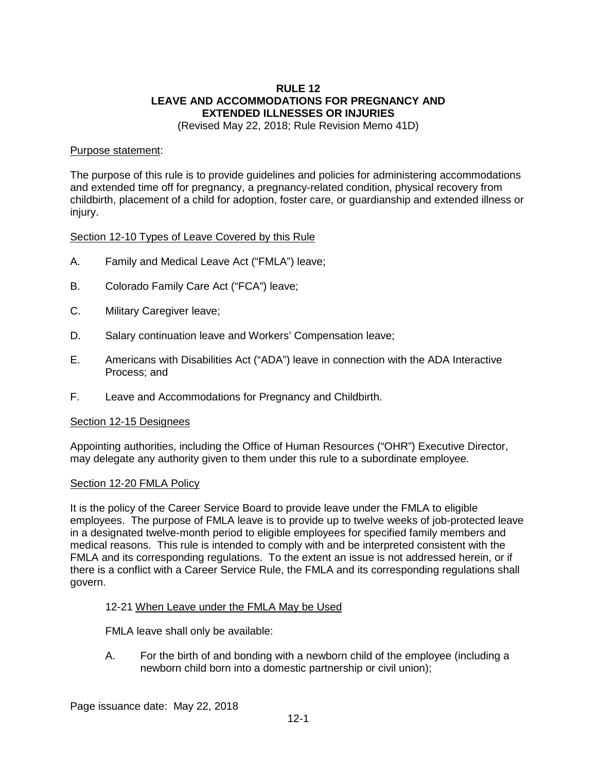## **RULE 12 LEAVE AND ACCOMMODATIONS FOR PREGNANCY AND EXTENDED ILLNESSES OR INJURIES**

(Revised May 22, 2018; Rule Revision Memo 41D)

### Purpose statement:

The purpose of this rule is to provide guidelines and policies for administering accommodations and extended time off for pregnancy, a pregnancy-related condition, physical recovery from childbirth, placement of a child for adoption, foster care, or guardianship and extended illness or injury.

### Section 12-10 Types of Leave Covered by this Rule

- A. Family and Medical Leave Act ("FMLA") leave;
- B. Colorado Family Care Act ("FCA") leave;
- C. Military Caregiver leave;
- D. Salary continuation leave and Workers' Compensation leave;
- E. Americans with Disabilities Act ("ADA") leave in connection with the ADA Interactive Process; and
- F. Leave and Accommodations for Pregnancy and Childbirth.

### Section 12-15 Designees

Appointing authorities, including the Office of Human Resources ("OHR") Executive Director, may delegate any authority given to them under this rule to a subordinate employee.

### Section 12-20 FMLA Policy

It is the policy of the Career Service Board to provide leave under the FMLA to eligible employees. The purpose of FMLA leave is to provide up to twelve weeks of job-protected leave in a designated twelve-month period to eligible employees for specified family members and medical reasons. This rule is intended to comply with and be interpreted consistent with the FMLA and its corresponding regulations. To the extent an issue is not addressed herein, or if there is a conflict with a Career Service Rule, the FMLA and its corresponding regulations shall govern.

### 12-21 When Leave under the FMLA May be Used

FMLA leave shall only be available:

A. For the birth of and bonding with a newborn child of the employee (including a newborn child born into a domestic partnership or civil union);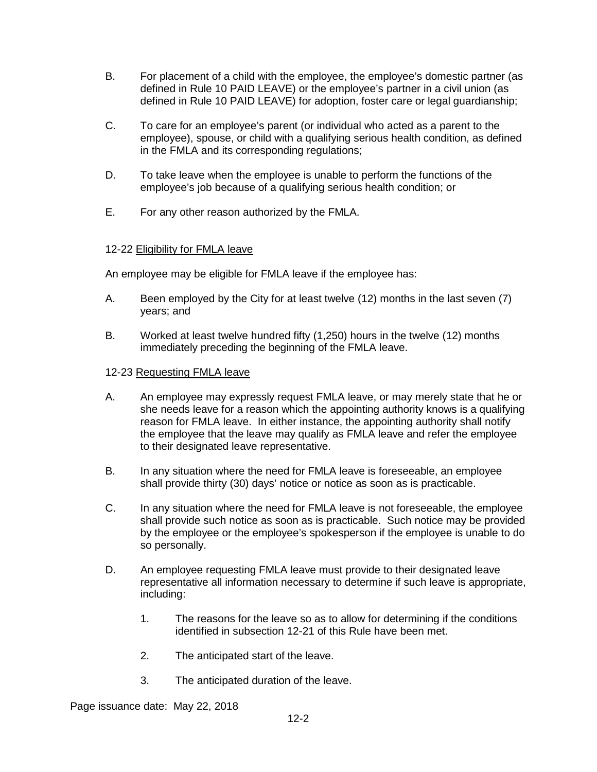- B. For placement of a child with the employee, the employee's domestic partner (as defined in Rule 10 PAID LEAVE) or the employee's partner in a civil union (as defined in Rule 10 PAID LEAVE) for adoption, foster care or legal guardianship;
- C. To care for an employee's parent (or individual who acted as a parent to the employee), spouse, or child with a qualifying serious health condition, as defined in the FMLA and its corresponding regulations;
- D. To take leave when the employee is unable to perform the functions of the employee's job because of a qualifying serious health condition; or
- E. For any other reason authorized by the FMLA.

## 12-22 Eligibility for FMLA leave

An employee may be eligible for FMLA leave if the employee has:

- A. Been employed by the City for at least twelve (12) months in the last seven (7) years; and
- B. Worked at least twelve hundred fifty (1,250) hours in the twelve (12) months immediately preceding the beginning of the FMLA leave.

### 12-23 Requesting FMLA leave

- A. An employee may expressly request FMLA leave, or may merely state that he or she needs leave for a reason which the appointing authority knows is a qualifying reason for FMLA leave. In either instance, the appointing authority shall notify the employee that the leave may qualify as FMLA leave and refer the employee to their designated leave representative.
- B. In any situation where the need for FMLA leave is foreseeable, an employee shall provide thirty (30) days' notice or notice as soon as is practicable.
- C. In any situation where the need for FMLA leave is not foreseeable, the employee shall provide such notice as soon as is practicable. Such notice may be provided by the employee or the employee's spokesperson if the employee is unable to do so personally.
- D. An employee requesting FMLA leave must provide to their designated leave representative all information necessary to determine if such leave is appropriate, including:
	- 1. The reasons for the leave so as to allow for determining if the conditions identified in subsection 12-21 of this Rule have been met.
	- 2. The anticipated start of the leave.
	- 3. The anticipated duration of the leave.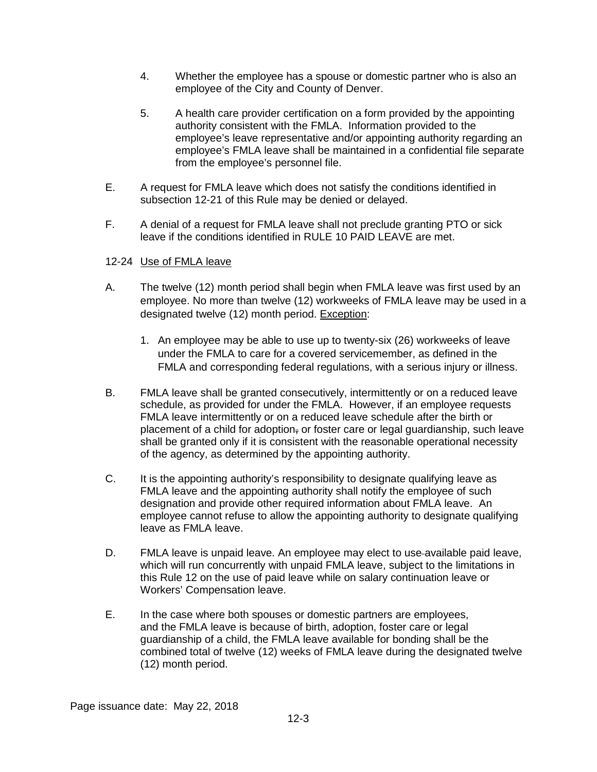- 4. Whether the employee has a spouse or domestic partner who is also an employee of the City and County of Denver.
- 5. A health care provider certification on a form provided by the appointing authority consistent with the FMLA. Information provided to the employee's leave representative and/or appointing authority regarding an employee's FMLA leave shall be maintained in a confidential file separate from the employee's personnel file.
- E. A request for FMLA leave which does not satisfy the conditions identified in subsection 12-21 of this Rule may be denied or delayed.
- F. A denial of a request for FMLA leave shall not preclude granting PTO or sick leave if the conditions identified in RULE 10 PAID LEAVE are met.

## 12-24 Use of FMLA leave

- A. The twelve (12) month period shall begin when FMLA leave was first used by an employee. No more than twelve (12) workweeks of FMLA leave may be used in a designated twelve (12) month period. Exception:
	- 1. An employee may be able to use up to twenty-six (26) workweeks of leave under the FMLA to care for a covered servicemember, as defined in the FMLA and corresponding federal regulations, with a serious injury or illness.
- B. FMLA leave shall be granted consecutively, intermittently or on a reduced leave schedule, as provided for under the FMLA. However, if an employee requests FMLA leave intermittently or on a reduced leave schedule after the birth or placement of a child for adoption, or foster care or legal quardianship, such leave shall be granted only if it is consistent with the reasonable operational necessity of the agency, as determined by the appointing authority.
- C. It is the appointing authority's responsibility to designate qualifying leave as FMLA leave and the appointing authority shall notify the employee of such designation and provide other required information about FMLA leave. An employee cannot refuse to allow the appointing authority to designate qualifying leave as FMLA leave.
- D. FMLA leave is unpaid leave. An employee may elect to use-available paid leave, which will run concurrently with unpaid FMLA leave, subject to the limitations in this Rule 12 on the use of paid leave while on salary continuation leave or Workers' Compensation leave.
- E. In the case where both spouses or domestic partners are employees, and the FMLA leave is because of birth, adoption, foster care or legal guardianship of a child, the FMLA leave available for bonding shall be the combined total of twelve (12) weeks of FMLA leave during the designated twelve (12) month period.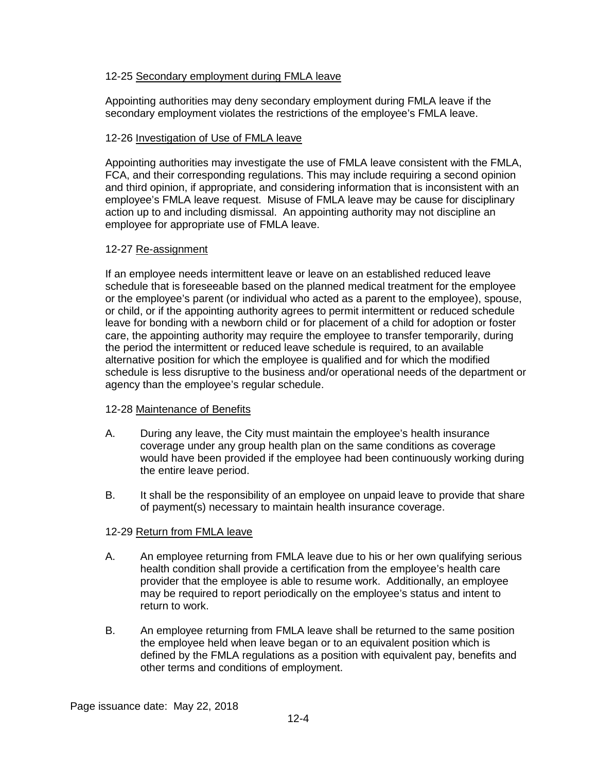### 12-25 Secondary employment during FMLA leave

Appointing authorities may deny secondary employment during FMLA leave if the secondary employment violates the restrictions of the employee's FMLA leave.

### 12-26 Investigation of Use of FMLA leave

Appointing authorities may investigate the use of FMLA leave consistent with the FMLA, FCA, and their corresponding regulations. This may include requiring a second opinion and third opinion, if appropriate, and considering information that is inconsistent with an employee's FMLA leave request. Misuse of FMLA leave may be cause for disciplinary action up to and including dismissal. An appointing authority may not discipline an employee for appropriate use of FMLA leave.

### 12-27 Re-assignment

If an employee needs intermittent leave or leave on an established reduced leave schedule that is foreseeable based on the planned medical treatment for the employee or the employee's parent (or individual who acted as a parent to the employee), spouse, or child, or if the appointing authority agrees to permit intermittent or reduced schedule leave for bonding with a newborn child or for placement of a child for adoption or foster care, the appointing authority may require the employee to transfer temporarily, during the period the intermittent or reduced leave schedule is required, to an available alternative position for which the employee is qualified and for which the modified schedule is less disruptive to the business and/or operational needs of the department or agency than the employee's regular schedule.

### 12-28 Maintenance of Benefits

- A. During any leave, the City must maintain the employee's health insurance coverage under any group health plan on the same conditions as coverage would have been provided if the employee had been continuously working during the entire leave period.
- B. It shall be the responsibility of an employee on unpaid leave to provide that share of payment(s) necessary to maintain health insurance coverage.

### 12-29 Return from FMLA leave

- A. An employee returning from FMLA leave due to his or her own qualifying serious health condition shall provide a certification from the employee's health care provider that the employee is able to resume work. Additionally, an employee may be required to report periodically on the employee's status and intent to return to work.
- B. An employee returning from FMLA leave shall be returned to the same position the employee held when leave began or to an equivalent position which is defined by the FMLA regulations as a position with equivalent pay, benefits and other terms and conditions of employment.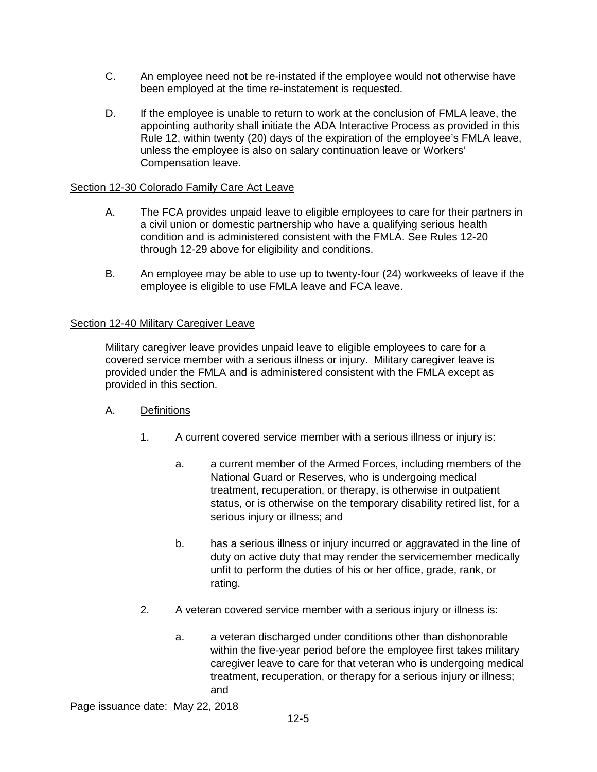- C. An employee need not be re-instated if the employee would not otherwise have been employed at the time re-instatement is requested.
- D. If the employee is unable to return to work at the conclusion of FMLA leave, the appointing authority shall initiate the ADA Interactive Process as provided in this Rule 12, within twenty (20) days of the expiration of the employee's FMLA leave, unless the employee is also on salary continuation leave or Workers' Compensation leave.

## Section 12-30 Colorado Family Care Act Leave

- A. The FCA provides unpaid leave to eligible employees to care for their partners in a civil union or domestic partnership who have a qualifying serious health condition and is administered consistent with the FMLA. See Rules 12-20 through 12-29 above for eligibility and conditions.
- B. An employee may be able to use up to twenty-four (24) workweeks of leave if the employee is eligible to use FMLA leave and FCA leave.

### Section 12-40 Military Caregiver Leave

Military caregiver leave provides unpaid leave to eligible employees to care for a covered service member with a serious illness or injury. Military caregiver leave is provided under the FMLA and is administered consistent with the FMLA except as provided in this section.

- A. Definitions
	- 1. A current covered service member with a serious illness or injury is:
		- a. a current member of the Armed Forces, including members of the National Guard or Reserves, who is undergoing medical treatment, recuperation, or therapy, is otherwise in outpatient status, or is otherwise on the temporary disability retired list, for a serious injury or illness; and
		- b. has a serious illness or injury incurred or aggravated in the line of duty on active duty that may render the servicemember medically unfit to perform the duties of his or her office, grade, rank, or rating.
	- 2. A veteran covered service member with a serious injury or illness is:
		- a. a veteran discharged under conditions other than dishonorable within the five-year period before the employee first takes military caregiver leave to care for that veteran who is undergoing medical treatment, recuperation, or therapy for a serious injury or illness; and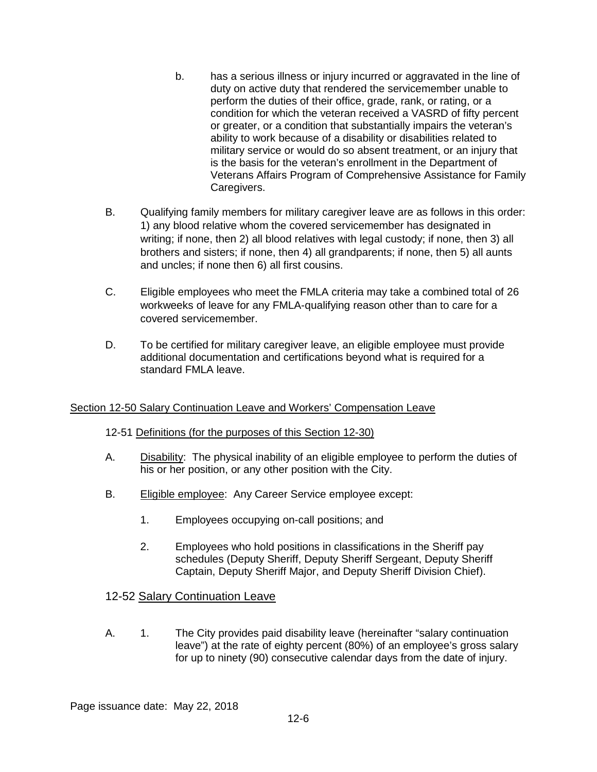- b. has a serious illness or injury incurred or aggravated in the line of duty on active duty that rendered the servicemember unable to perform the duties of their office, grade, rank, or rating, or a condition for which the veteran received a VASRD of fifty percent or greater, or a condition that substantially impairs the veteran's ability to work because of a disability or disabilities related to military service or would do so absent treatment, or an injury that is the basis for the veteran's enrollment in the Department of Veterans Affairs Program of Comprehensive Assistance for Family Caregivers.
- B. Qualifying family members for military caregiver leave are as follows in this order: 1) any blood relative whom the covered servicemember has designated in writing; if none, then 2) all blood relatives with legal custody; if none, then 3) all brothers and sisters; if none, then 4) all grandparents; if none, then 5) all aunts and uncles; if none then 6) all first cousins.
- C. Eligible employees who meet the FMLA criteria may take a combined total of 26 workweeks of leave for any FMLA-qualifying reason other than to care for a covered servicemember.
- D. To be certified for military caregiver leave, an eligible employee must provide additional documentation and certifications beyond what is required for a standard FMLA leave.

## Section 12-50 Salary Continuation Leave and Workers' Compensation Leave

## 12-51 Definitions (for the purposes of this Section 12-30)

- A. Disability: The physical inability of an eligible employee to perform the duties of his or her position, or any other position with the City.
- B. Eligible employee: Any Career Service employee except:
	- 1. Employees occupying on-call positions; and
	- 2. Employees who hold positions in classifications in the Sheriff pay schedules (Deputy Sheriff, Deputy Sheriff Sergeant, Deputy Sheriff Captain, Deputy Sheriff Major, and Deputy Sheriff Division Chief).

## 12-52 Salary Continuation Leave

A. 1. The City provides paid disability leave (hereinafter "salary continuation leave") at the rate of eighty percent (80%) of an employee's gross salary for up to ninety (90) consecutive calendar days from the date of injury.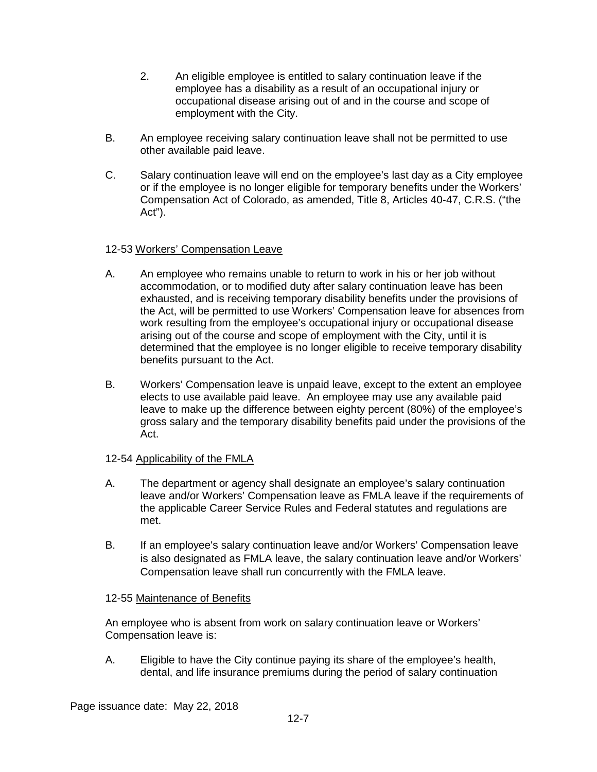- 2. An eligible employee is entitled to salary continuation leave if the employee has a disability as a result of an occupational injury or occupational disease arising out of and in the course and scope of employment with the City.
- B. An employee receiving salary continuation leave shall not be permitted to use other available paid leave.
- C. Salary continuation leave will end on the employee's last day as a City employee or if the employee is no longer eligible for temporary benefits under the Workers' Compensation Act of Colorado, as amended, Title 8, Articles 40-47, C.R.S. ("the Act").

## 12-53 Workers' Compensation Leave

- A. An employee who remains unable to return to work in his or her job without accommodation, or to modified duty after salary continuation leave has been exhausted, and is receiving temporary disability benefits under the provisions of the Act, will be permitted to use Workers' Compensation leave for absences from work resulting from the employee's occupational injury or occupational disease arising out of the course and scope of employment with the City, until it is determined that the employee is no longer eligible to receive temporary disability benefits pursuant to the Act.
- B. Workers' Compensation leave is unpaid leave, except to the extent an employee elects to use available paid leave. An employee may use any available paid leave to make up the difference between eighty percent (80%) of the employee's gross salary and the temporary disability benefits paid under the provisions of the Act.

## 12-54 Applicability of the FMLA

- A. The department or agency shall designate an employee's salary continuation leave and/or Workers' Compensation leave as FMLA leave if the requirements of the applicable Career Service Rules and Federal statutes and regulations are met.
- B. If an employee's salary continuation leave and/or Workers' Compensation leave is also designated as FMLA leave, the salary continuation leave and/or Workers' Compensation leave shall run concurrently with the FMLA leave.

## 12-55 Maintenance of Benefits

An employee who is absent from work on salary continuation leave or Workers' Compensation leave is:

A. Eligible to have the City continue paying its share of the employee's health, dental, and life insurance premiums during the period of salary continuation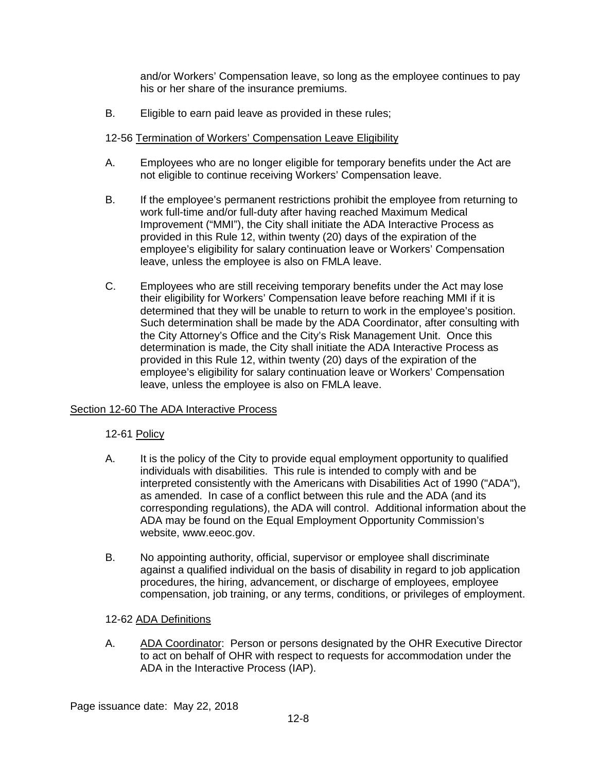and/or Workers' Compensation leave, so long as the employee continues to pay his or her share of the insurance premiums.

B. Eligible to earn paid leave as provided in these rules;

## 12-56 Termination of Workers' Compensation Leave Eligibility

- A. Employees who are no longer eligible for temporary benefits under the Act are not eligible to continue receiving Workers' Compensation leave.
- B. If the employee's permanent restrictions prohibit the employee from returning to work full-time and/or full-duty after having reached Maximum Medical Improvement ("MMI"), the City shall initiate the ADA Interactive Process as provided in this Rule 12, within twenty (20) days of the expiration of the employee's eligibility for salary continuation leave or Workers' Compensation leave, unless the employee is also on FMLA leave.
- C. Employees who are still receiving temporary benefits under the Act may lose their eligibility for Workers' Compensation leave before reaching MMI if it is determined that they will be unable to return to work in the employee's position. Such determination shall be made by the ADA Coordinator, after consulting with the City Attorney's Office and the City's Risk Management Unit. Once this determination is made, the City shall initiate the ADA Interactive Process as provided in this Rule 12, within twenty (20) days of the expiration of the employee's eligibility for salary continuation leave or Workers' Compensation leave, unless the employee is also on FMLA leave.

## Section 12-60 The ADA Interactive Process

## 12-61 Policy

- A. It is the policy of the City to provide equal employment opportunity to qualified individuals with disabilities. This rule is intended to comply with and be interpreted consistently with the Americans with Disabilities Act of 1990 ("ADA"), as amended. In case of a conflict between this rule and the ADA (and its corresponding regulations), the ADA will control. Additional information about the ADA may be found on the Equal Employment Opportunity Commission's website, [www.eeoc.gov.](http://www.eeoc.gov/)
- B. No appointing authority, official, supervisor or employee shall discriminate against a qualified individual on the basis of disability in regard to job application procedures, the hiring, advancement, or discharge of employees, employee compensation, job training, or any terms, conditions, or privileges of employment.

## 12-62 ADA Definitions

A. ADA Coordinator: Person or persons designated by the OHR Executive Director to act on behalf of OHR with respect to requests for accommodation under the ADA in the Interactive Process (IAP).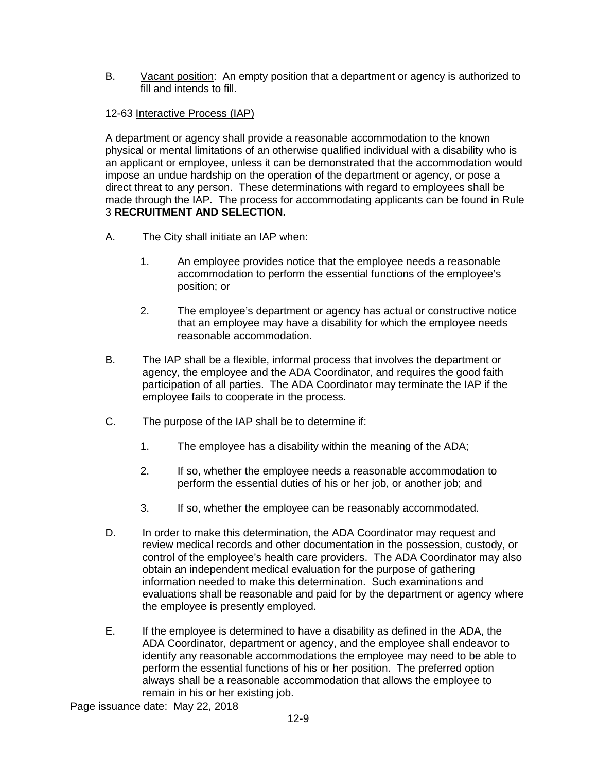B. Vacant position: An empty position that a department or agency is authorized to fill and intends to fill.

## 12-63 Interactive Process (IAP)

A department or agency shall provide a reasonable accommodation to the known physical or mental limitations of an otherwise qualified individual with a disability who is an applicant or employee, unless it can be demonstrated that the accommodation would impose an undue hardship on the operation of the department or agency, or pose a direct threat to any person. These determinations with regard to employees shall be made through the IAP. The process for accommodating applicants can be found in Rule 3 **RECRUITMENT AND SELECTION.**

- A. The City shall initiate an IAP when:
	- 1. An employee provides notice that the employee needs a reasonable accommodation to perform the essential functions of the employee's position; or
	- 2. The employee's department or agency has actual or constructive notice that an employee may have a disability for which the employee needs reasonable accommodation.
- B. The IAP shall be a flexible, informal process that involves the department or agency, the employee and the ADA Coordinator, and requires the good faith participation of all parties. The ADA Coordinator may terminate the IAP if the employee fails to cooperate in the process.
- C. The purpose of the IAP shall be to determine if:
	- 1. The employee has a disability within the meaning of the ADA;
	- 2. If so, whether the employee needs a reasonable accommodation to perform the essential duties of his or her job, or another job; and
	- 3. If so, whether the employee can be reasonably accommodated.
- D. In order to make this determination, the ADA Coordinator may request and review medical records and other documentation in the possession, custody, or control of the employee's health care providers. The ADA Coordinator may also obtain an independent medical evaluation for the purpose of gathering information needed to make this determination. Such examinations and evaluations shall be reasonable and paid for by the department or agency where the employee is presently employed.
- E. If the employee is determined to have a disability as defined in the ADA, the ADA Coordinator, department or agency, and the employee shall endeavor to identify any reasonable accommodations the employee may need to be able to perform the essential functions of his or her position. The preferred option always shall be a reasonable accommodation that allows the employee to remain in his or her existing job.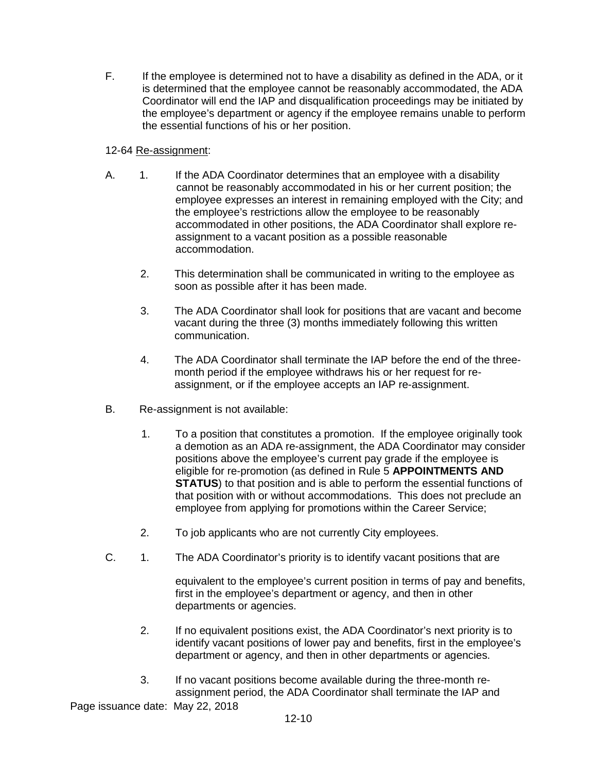F. If the employee is determined not to have a disability as defined in the ADA, or it is determined that the employee cannot be reasonably accommodated, the ADA Coordinator will end the IAP and disqualification proceedings may be initiated by the employee's department or agency if the employee remains unable to perform the essential functions of his or her position.

## 12-64 Re-assignment:

- A. 1. If the ADA Coordinator determines that an employee with a disability cannot be reasonably accommodated in his or her current position; the employee expresses an interest in remaining employed with the City; and the employee's restrictions allow the employee to be reasonably accommodated in other positions, the ADA Coordinator shall explore reassignment to a vacant position as a possible reasonable accommodation.
	- 2. This determination shall be communicated in writing to the employee as soon as possible after it has been made.
	- 3. The ADA Coordinator shall look for positions that are vacant and become vacant during the three (3) months immediately following this written communication.
	- 4. The ADA Coordinator shall terminate the IAP before the end of the threemonth period if the employee withdraws his or her request for reassignment, or if the employee accepts an IAP re-assignment.
- B. Re-assignment is not available:
	- 1. To a position that constitutes a promotion. If the employee originally took a demotion as an ADA re-assignment, the ADA Coordinator may consider positions above the employee's current pay grade if the employee is eligible for re-promotion (as defined in Rule 5 **APPOINTMENTS AND STATUS**) to that position and is able to perform the essential functions of that position with or without accommodations. This does not preclude an employee from applying for promotions within the Career Service;
	- 2. To job applicants who are not currently City employees.
- C. 1. The ADA Coordinator's priority is to identify vacant positions that are

equivalent to the employee's current position in terms of pay and benefits, first in the employee's department or agency, and then in other departments or agencies.

- 2. If no equivalent positions exist, the ADA Coordinator's next priority is to identify vacant positions of lower pay and benefits, first in the employee's department or agency, and then in other departments or agencies.
- 3. If no vacant positions become available during the three-month reassignment period, the ADA Coordinator shall terminate the IAP and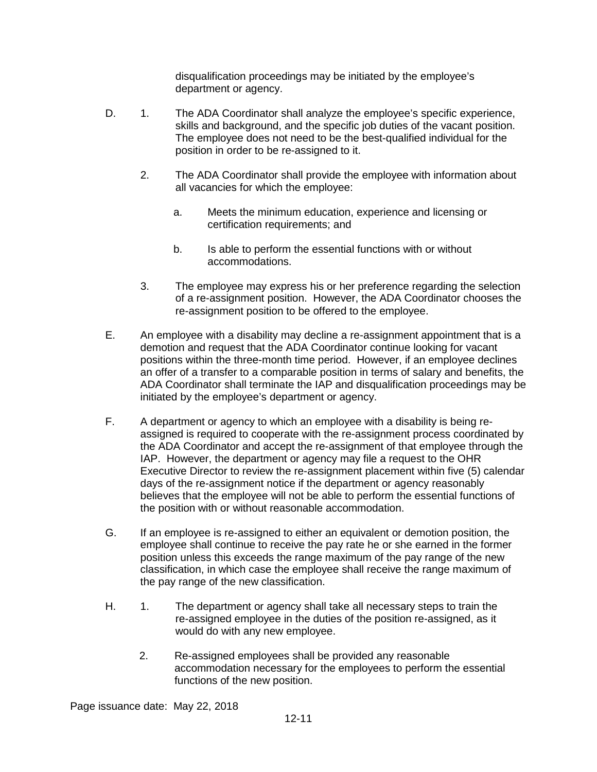disqualification proceedings may be initiated by the employee's department or agency.

- D. 1. The ADA Coordinator shall analyze the employee's specific experience, skills and background, and the specific job duties of the vacant position. The employee does not need to be the best-qualified individual for the position in order to be re-assigned to it.
	- 2. The ADA Coordinator shall provide the employee with information about all vacancies for which the employee:
		- a. Meets the minimum education, experience and licensing or certification requirements; and
		- b. Is able to perform the essential functions with or without accommodations.
	- 3. The employee may express his or her preference regarding the selection of a re-assignment position. However, the ADA Coordinator chooses the re-assignment position to be offered to the employee.
- E. An employee with a disability may decline a re-assignment appointment that is a demotion and request that the ADA Coordinator continue looking for vacant positions within the three-month time period. However, if an employee declines an offer of a transfer to a comparable position in terms of salary and benefits, the ADA Coordinator shall terminate the IAP and disqualification proceedings may be initiated by the employee's department or agency.
- F. A department or agency to which an employee with a disability is being reassigned is required to cooperate with the re-assignment process coordinated by the ADA Coordinator and accept the re-assignment of that employee through the IAP. However, the department or agency may file a request to the OHR Executive Director to review the re-assignment placement within five (5) calendar days of the re-assignment notice if the department or agency reasonably believes that the employee will not be able to perform the essential functions of the position with or without reasonable accommodation.
- G. If an employee is re-assigned to either an equivalent or demotion position, the employee shall continue to receive the pay rate he or she earned in the former position unless this exceeds the range maximum of the pay range of the new classification, in which case the employee shall receive the range maximum of the pay range of the new classification.
- H. 1. The department or agency shall take all necessary steps to train the re-assigned employee in the duties of the position re-assigned, as it would do with any new employee.
	- 2. Re-assigned employees shall be provided any reasonable accommodation necessary for the employees to perform the essential functions of the new position.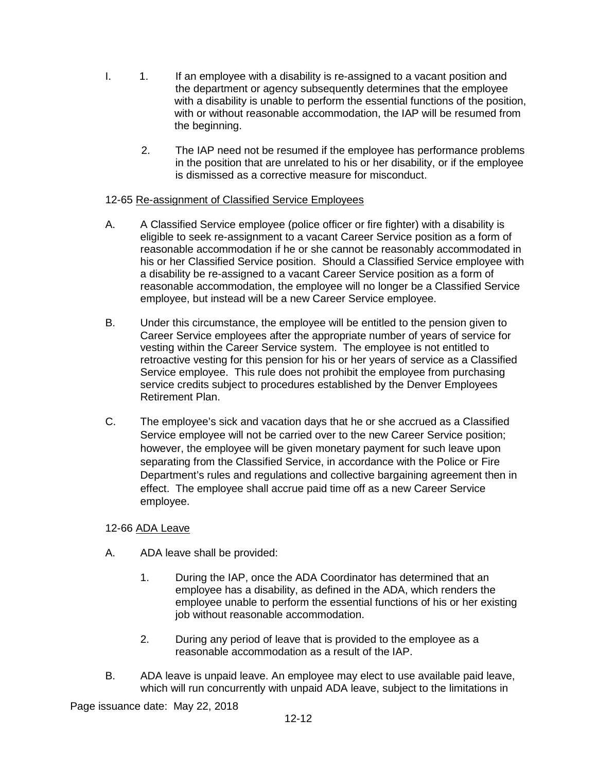- I. 1. If an employee with a disability is re-assigned to a vacant position and the department or agency subsequently determines that the employee with a disability is unable to perform the essential functions of the position, with or without reasonable accommodation, the IAP will be resumed from the beginning.
	- 2. The IAP need not be resumed if the employee has performance problems in the position that are unrelated to his or her disability, or if the employee is dismissed as a corrective measure for misconduct.

## 12-65 Re-assignment of Classified Service Employees

- A. A Classified Service employee (police officer or fire fighter) with a disability is eligible to seek re-assignment to a vacant Career Service position as a form of reasonable accommodation if he or she cannot be reasonably accommodated in his or her Classified Service position. Should a Classified Service employee with a disability be re-assigned to a vacant Career Service position as a form of reasonable accommodation, the employee will no longer be a Classified Service employee, but instead will be a new Career Service employee.
- B. Under this circumstance, the employee will be entitled to the pension given to Career Service employees after the appropriate number of years of service for vesting within the Career Service system. The employee is not entitled to retroactive vesting for this pension for his or her years of service as a Classified Service employee. This rule does not prohibit the employee from purchasing service credits subject to procedures established by the Denver Employees Retirement Plan.
- C. The employee's sick and vacation days that he or she accrued as a Classified Service employee will not be carried over to the new Career Service position; however, the employee will be given monetary payment for such leave upon separating from the Classified Service, in accordance with the Police or Fire Department's rules and regulations and collective bargaining agreement then in effect. The employee shall accrue paid time off as a new Career Service employee.

## 12-66 ADA Leave

- A. ADA leave shall be provided:
	- 1. During the IAP, once the ADA Coordinator has determined that an employee has a disability, as defined in the ADA, which renders the employee unable to perform the essential functions of his or her existing job without reasonable accommodation.
	- 2. During any period of leave that is provided to the employee as a reasonable accommodation as a result of the IAP.
- B. ADA leave is unpaid leave. An employee may elect to use available paid leave, which will run concurrently with unpaid ADA leave, subject to the limitations in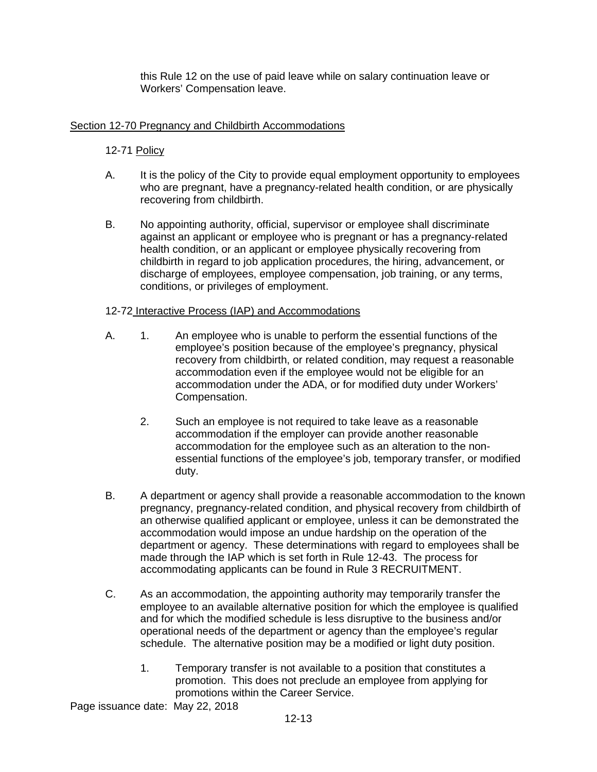this Rule 12 on the use of paid leave while on salary continuation leave or Workers' Compensation leave.

## Section 12-70 Pregnancy and Childbirth Accommodations

## 12-71 Policy

- A. It is the policy of the City to provide equal employment opportunity to employees who are pregnant, have a pregnancy-related health condition, or are physically recovering from childbirth.
- B. No appointing authority, official, supervisor or employee shall discriminate against an applicant or employee who is pregnant or has a pregnancy-related health condition, or an applicant or employee physically recovering from childbirth in regard to job application procedures, the hiring, advancement, or discharge of employees, employee compensation, job training, or any terms, conditions, or privileges of employment.

## 12-72 Interactive Process (IAP) and Accommodations

- A. 1. An employee who is unable to perform the essential functions of the employee's position because of the employee's pregnancy, physical recovery from childbirth, or related condition, may request a reasonable accommodation even if the employee would not be eligible for an accommodation under the ADA, or for modified duty under Workers' Compensation.
	- 2. Such an employee is not required to take leave as a reasonable accommodation if the employer can provide another reasonable accommodation for the employee such as an alteration to the nonessential functions of the employee's job, temporary transfer, or modified duty.
- B. A department or agency shall provide a reasonable accommodation to the known pregnancy, pregnancy-related condition, and physical recovery from childbirth of an otherwise qualified applicant or employee, unless it can be demonstrated the accommodation would impose an undue hardship on the operation of the department or agency. These determinations with regard to employees shall be made through the IAP which is set forth in Rule 12-43. The process for accommodating applicants can be found in Rule 3 RECRUITMENT.
- C. As an accommodation, the appointing authority may temporarily transfer the employee to an available alternative position for which the employee is qualified and for which the modified schedule is less disruptive to the business and/or operational needs of the department or agency than the employee's regular schedule. The alternative position may be a modified or light duty position.
	- 1. Temporary transfer is not available to a position that constitutes a promotion. This does not preclude an employee from applying for promotions within the Career Service.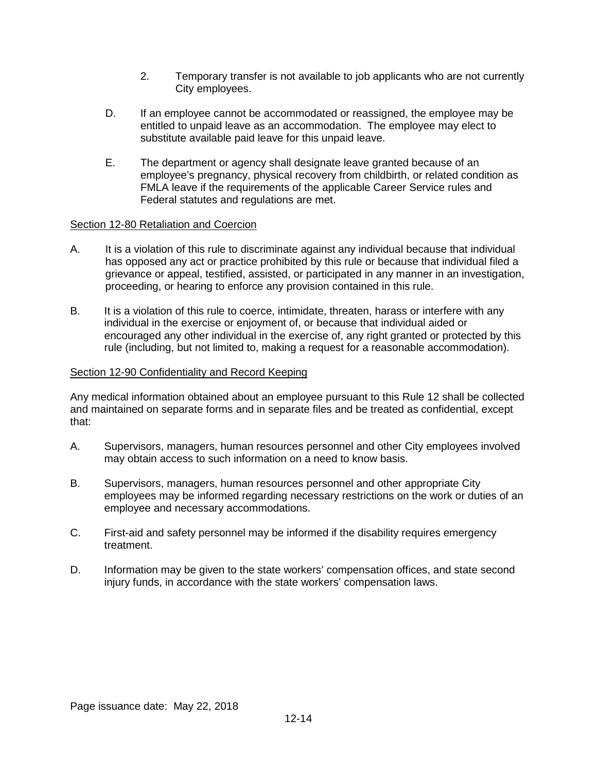- 2. Temporary transfer is not available to job applicants who are not currently City employees.
- D. If an employee cannot be accommodated or reassigned, the employee may be entitled to unpaid leave as an accommodation. The employee may elect to substitute available paid leave for this unpaid leave.
- E. The department or agency shall designate leave granted because of an employee's pregnancy, physical recovery from childbirth, or related condition as FMLA leave if the requirements of the applicable Career Service rules and Federal statutes and regulations are met.

## Section 12-80 Retaliation and Coercion

- A. It is a violation of this rule to discriminate against any individual because that individual has opposed any act or practice prohibited by this rule or because that individual filed a grievance or appeal, testified, assisted, or participated in any manner in an investigation, proceeding, or hearing to enforce any provision contained in this rule.
- B. It is a violation of this rule to coerce, intimidate, threaten, harass or interfere with any individual in the exercise or enjoyment of, or because that individual aided or encouraged any other individual in the exercise of, any right granted or protected by this rule (including, but not limited to, making a request for a reasonable accommodation).

## Section 12-90 Confidentiality and Record Keeping

Any medical information obtained about an employee pursuant to this Rule 12 shall be collected and maintained on separate forms and in separate files and be treated as confidential, except that:

- A. Supervisors, managers, human resources personnel and other City employees involved may obtain access to such information on a need to know basis.
- B. Supervisors, managers, human resources personnel and other appropriate City employees may be informed regarding necessary restrictions on the work or duties of an employee and necessary accommodations.
- C. First-aid and safety personnel may be informed if the disability requires emergency treatment.
- D. Information may be given to the state workers' compensation offices, and state second injury funds, in accordance with the state workers' compensation laws.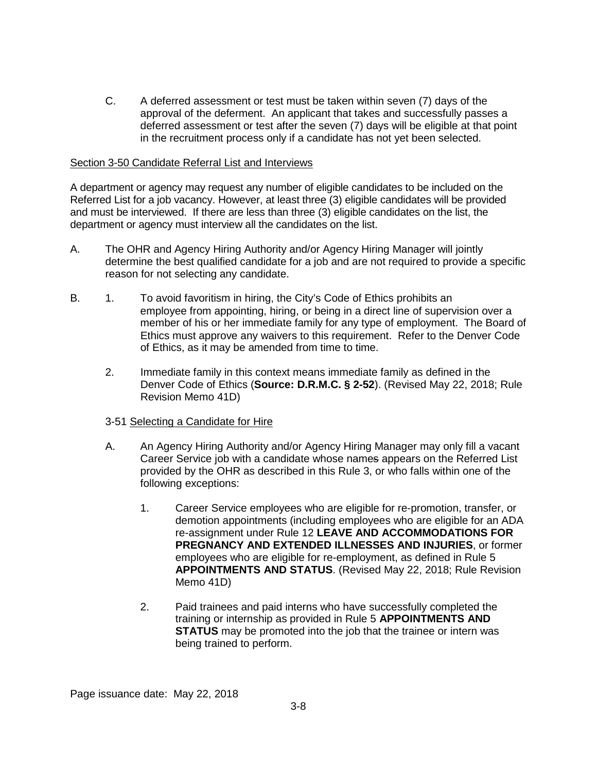C. A deferred assessment or test must be taken within seven (7) days of the approval of the deferment. An applicant that takes and successfully passes a deferred assessment or test after the seven (7) days will be eligible at that point in the recruitment process only if a candidate has not yet been selected.

#### Section 3-50 Candidate Referral List and Interviews

A department or agency may request any number of eligible candidates to be included on the Referred List for a job vacancy. However, at least three (3) eligible candidates will be provided and must be interviewed. If there are less than three (3) eligible candidates on the list, the department or agency must interview all the candidates on the list.

- A. The OHR and Agency Hiring Authority and/or Agency Hiring Manager will jointly determine the best qualified candidate for a job and are not required to provide a specific reason for not selecting any candidate.
- B. 1. To avoid favoritism in hiring, the City's Code of Ethics prohibits an employee from appointing, hiring, or being in a direct line of supervision over a member of his or her immediate family for any type of employment. The Board of Ethics must approve any waivers to this requirement. Refer to the Denver Code of Ethics, as it may be amended from time to time.
	- 2. Immediate family in this context means immediate family as defined in the Denver Code of Ethics (**Source: D.R.M.C. § 2-52**). (Revised May 22, 2018; Rule Revision Memo 41D)

### 3-51 Selecting a Candidate for Hire

- A. An Agency Hiring Authority and/or Agency Hiring Manager may only fill a vacant Career Service job with a candidate whose names appears on the Referred List provided by the OHR as described in this Rule 3, or who falls within one of the following exceptions:
	- 1. Career Service employees who are eligible for re-promotion, transfer, or demotion appointments (including employees who are eligible for an ADA re-assignment under Rule 12 **LEAVE AND ACCOMMODATIONS FOR PREGNANCY AND EXTENDED ILLNESSES AND INJURIES**, or former employees who are eligible for re-employment, as defined in Rule 5 **APPOINTMENTS AND STATUS**. (Revised May 22, 2018; Rule Revision Memo 41D)
	- 2. Paid trainees and paid interns who have successfully completed the training or internship as provided in Rule 5 **APPOINTMENTS AND STATUS** may be promoted into the job that the trainee or intern was being trained to perform.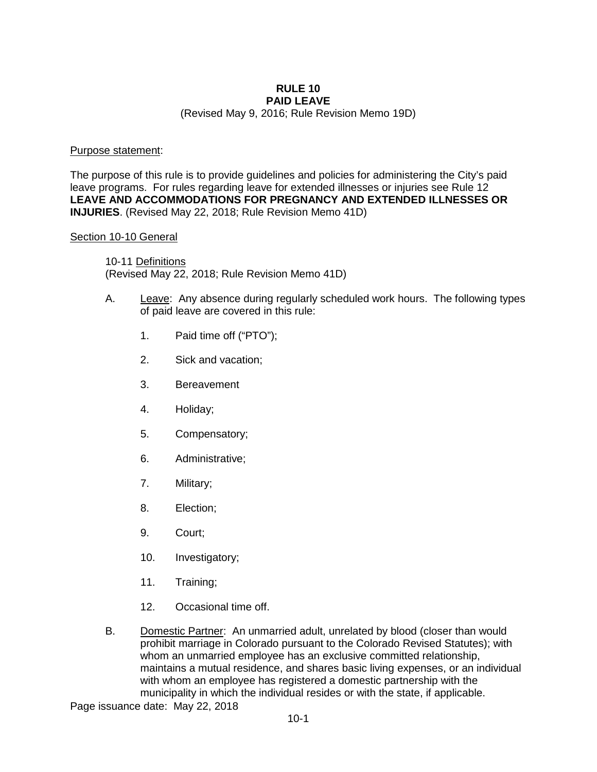# **RULE 10 PAID LEAVE**

(Revised May 9, 2016; Rule Revision Memo 19D)

### Purpose statement:

The purpose of this rule is to provide guidelines and policies for administering the City's paid leave programs. For rules regarding leave for extended illnesses or injuries see Rule 12 **LEAVE AND ACCOMMODATIONS FOR PREGNANCY AND EXTENDED ILLNESSES OR INJURIES**. (Revised May 22, 2018; Rule Revision Memo 41D)

### Section 10-10 General

10-11 Definitions (Revised May 22, 2018; Rule Revision Memo 41D)

- A. Leave: Any absence during regularly scheduled work hours. The following types of paid leave are covered in this rule:
	- 1. Paid time off ("PTO");
	- 2. Sick and vacation;
	- 3. Bereavement
	- 4. Holiday;
	- 5. Compensatory;
	- 6. Administrative;
	- 7. Military;
	- 8. Election;
	- 9. Court;
	- 10. Investigatory;
	- 11. Training;
	- 12. Occasional time off.
- B. Domestic Partner: An unmarried adult, unrelated by blood (closer than would prohibit marriage in Colorado pursuant to the Colorado Revised Statutes); with whom an unmarried employee has an exclusive committed relationship, maintains a mutual residence, and shares basic living expenses, or an individual with whom an employee has registered a domestic partnership with the municipality in which the individual resides or with the state, if applicable.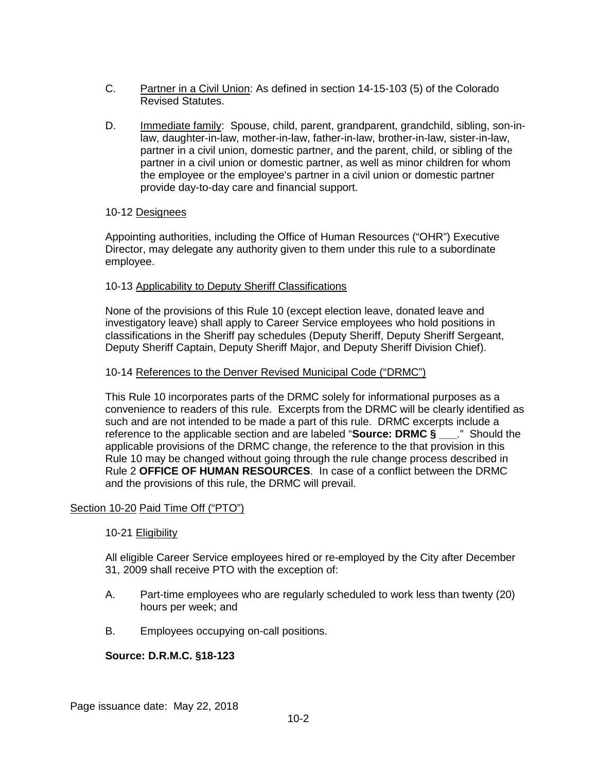- C. Partner in a Civil Union: As defined in section 14-15-103 (5) of the Colorado Revised Statutes.
- D. Immediate family: Spouse, child, parent, grandparent, grandchild, sibling, son-inlaw, daughter-in-law, mother-in-law, father-in-law, brother-in-law, sister-in-law, partner in a civil union, domestic partner, and the parent, child, or sibling of the partner in a civil union or domestic partner, as well as minor children for whom the employee or the employee's partner in a civil union or domestic partner provide day-to-day care and financial support.

### 10-12 Designees

Appointing authorities, including the Office of Human Resources ("OHR") Executive Director, may delegate any authority given to them under this rule to a subordinate employee.

### 10-13 Applicability to Deputy Sheriff Classifications

None of the provisions of this Rule 10 (except election leave, donated leave and investigatory leave) shall apply to Career Service employees who hold positions in classifications in the Sheriff pay schedules (Deputy Sheriff, Deputy Sheriff Sergeant, Deputy Sheriff Captain, Deputy Sheriff Major, and Deputy Sheriff Division Chief).

### 10-14 References to the Denver Revised Municipal Code ("DRMC")

This Rule 10 incorporates parts of the DRMC solely for informational purposes as a convenience to readers of this rule. Excerpts from the DRMC will be clearly identified as such and are not intended to be made a part of this rule. DRMC excerpts include a reference to the applicable section and are labeled "**Source: DRMC § \_\_\_**." Should the applicable provisions of the DRMC change, the reference to the that provision in this Rule 10 may be changed without going through the rule change process described in Rule 2 **OFFICE OF HUMAN RESOURCES**. In case of a conflict between the DRMC and the provisions of this rule, the DRMC will prevail.

## Section 10-20 Paid Time Off ("PTO")

### 10-21 Eligibility

All eligible Career Service employees hired or re-employed by the City after December 31, 2009 shall receive PTO with the exception of:

- A. Part-time employees who are regularly scheduled to work less than twenty (20) hours per week; and
- B. Employees occupying on-call positions.

## **Source: D.R.M.C. §18-123**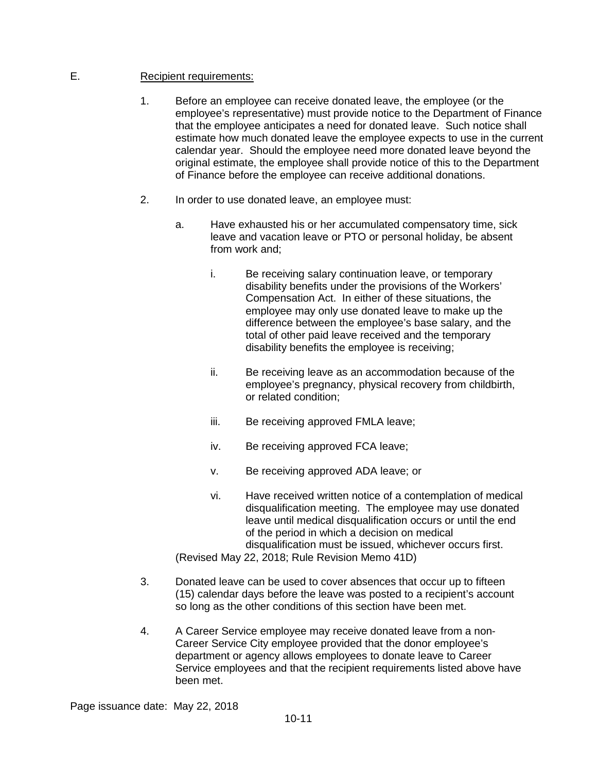## E. Recipient requirements:

- 1. Before an employee can receive donated leave, the employee (or the employee's representative) must provide notice to the Department of Finance that the employee anticipates a need for donated leave. Such notice shall estimate how much donated leave the employee expects to use in the current calendar year. Should the employee need more donated leave beyond the original estimate, the employee shall provide notice of this to the Department of Finance before the employee can receive additional donations.
- 2. In order to use donated leave, an employee must:
	- a. Have exhausted his or her accumulated compensatory time, sick leave and vacation leave or PTO or personal holiday, be absent from work and;
		- i. Be receiving salary continuation leave, or temporary disability benefits under the provisions of the Workers' Compensation Act. In either of these situations, the employee may only use donated leave to make up the difference between the employee's base salary, and the total of other paid leave received and the temporary disability benefits the employee is receiving;
		- ii. Be receiving leave as an accommodation because of the employee's pregnancy, physical recovery from childbirth, or related condition;
		- iii. Be receiving approved FMLA leave;
		- iv. Be receiving approved FCA leave;
		- v. Be receiving approved ADA leave; or
	- vi. Have received written notice of a contemplation of medical disqualification meeting. The employee may use donated leave until medical disqualification occurs or until the end of the period in which a decision on medical disqualification must be issued, whichever occurs first. (Revised May 22, 2018; Rule Revision Memo 41D)
- 3. Donated leave can be used to cover absences that occur up to fifteen (15) calendar days before the leave was posted to a recipient's account so long as the other conditions of this section have been met.
- 4. A Career Service employee may receive donated leave from a non-Career Service City employee provided that the donor employee's department or agency allows employees to donate leave to Career Service employees and that the recipient requirements listed above have been met.